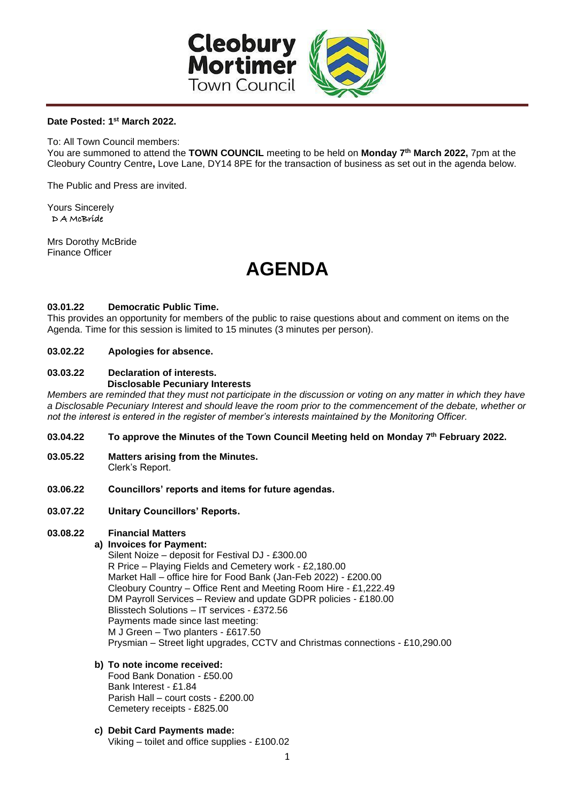

#### **Date Posted: 1 st March 2022.**

To: All Town Council members:

You are summoned to attend the **TOWN COUNCIL** meeting to be held on **Monday 7 th March 2022,** 7pm at the Cleobury Country Centre**,** Love Lane, DY14 8PE for the transaction of business as set out in the agenda below.

The Public and Press are invited.

Yours Sincerely D A McBride

Mrs Dorothy McBride Finance Officer

# **AGENDA**

#### **03.01.22 Democratic Public Time.**

This provides an opportunity for members of the public to raise questions about and comment on items on the Agenda. Time for this session is limited to 15 minutes (3 minutes per person).

#### **03.02.22 Apologies for absence.**

#### **03.03.22 Declaration of interests. Disclosable Pecuniary Interests**

*Members are reminded that they must not participate in the discussion or voting on any matter in which they have a Disclosable Pecuniary Interest and should leave the room prior to the commencement of the debate, whether or not the interest is entered in the register of member's interests maintained by the Monitoring Officer.*

#### **03.04.22 To approve the Minutes of the Town Council Meeting held on Monday 7 th February 2022.**

- **03.05.22 Matters arising from the Minutes.**  Clerk's Report.
- **03.06.22 Councillors' reports and items for future agendas.**
- **03.07.22 Unitary Councillors' Reports.**

#### **03.08.22 Financial Matters**

## **a) Invoices for Payment:**

Silent Noize – deposit for Festival DJ - £300.00 R Price – Playing Fields and Cemetery work - £2,180.00 Market Hall – office hire for Food Bank (Jan-Feb 2022) - £200.00 Cleobury Country – Office Rent and Meeting Room Hire - £1,222.49 DM Payroll Services – Review and update GDPR policies - £180.00 Blisstech Solutions – IT services - £372.56 Payments made since last meeting: M J Green – Two planters - £617.50 Prysmian – Street light upgrades, CCTV and Christmas connections - £10,290.00

**b) To note income received:**

 Food Bank Donation - £50.00 Bank Interest - £1.84 Parish Hall – court costs - £200.00 Cemetery receipts - £825.00

**c) Debit Card Payments made:** Viking – toilet and office supplies - £100.02